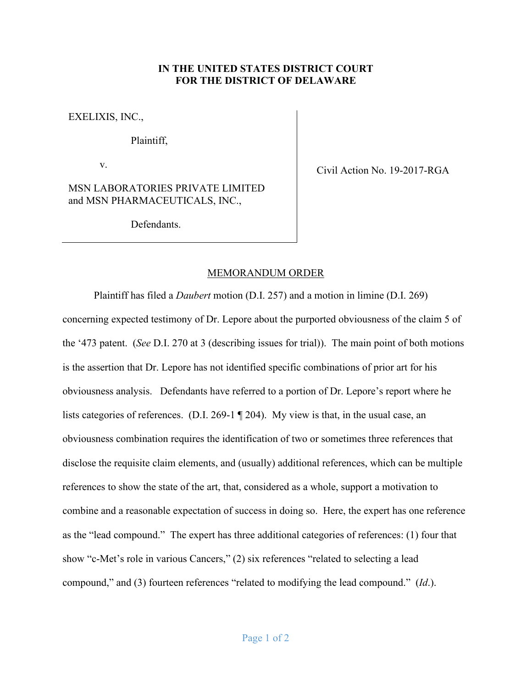## **IN THE UNITED STATES DISTRICT COURT FOR THE DISTRICT OF DELAWARE**

EXELIXIS, INC.,

Plaintiff,

v.

MSN LABORATORIES PRIVATE LIMITED and MSN PHARMACEUTICALS, INC.,

Defendants.

Civil Action No. 19-2017-RGA

## MEMORANDUM ORDER

Plaintiff has filed a *Daubert* motion (D.I. 257) and a motion in limine (D.I. 269) concerning expected testimony of Dr. Lepore about the purported obviousness of the claim 5 of the '473 patent. (*See* D.I. 270 at 3 (describing issues for trial)). The main point of both motions is the assertion that Dr. Lepore has not identified specific combinations of prior art for his obviousness analysis. Defendants have referred to a portion of Dr. Lepore's report where he lists categories of references. (D.I. 269-1 ¶ 204). My view is that, in the usual case, an obviousness combination requires the identification of two or sometimes three references that disclose the requisite claim elements, and (usually) additional references, which can be multiple references to show the state of the art, that, considered as a whole, support a motivation to combine and a reasonable expectation of success in doing so. Here, the expert has one reference as the "lead compound." The expert has three additional categories of references: (1) four that show "c-Met's role in various Cancers," (2) six references "related to selecting a lead compound," and (3) fourteen references "related to modifying the lead compound." (*Id*.).